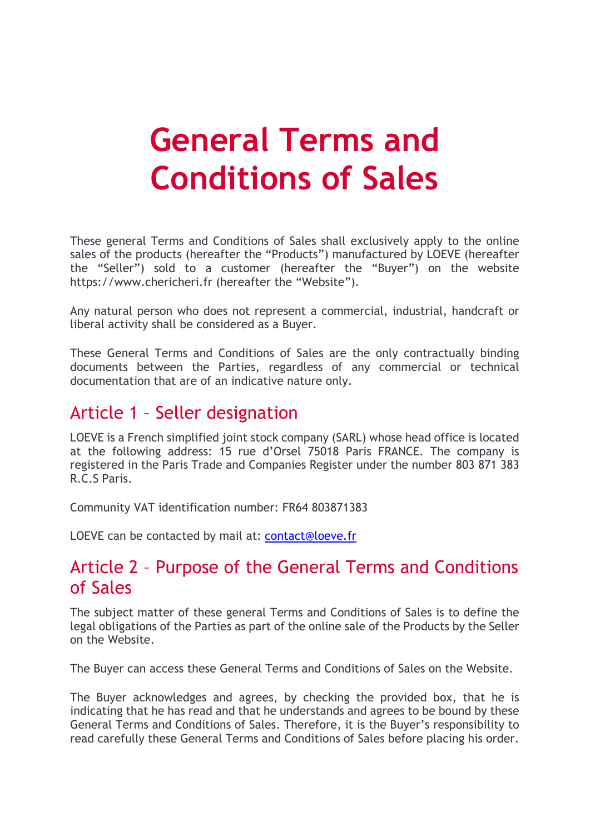# **General Terms and Conditions of Sales**

These general Terms and Conditions of Sales shall exclusively apply to the online sales of the products (hereafter the "Products") manufactured by LOEVE (hereafter the "Seller") sold to a customer (hereafter the "Buyer") on the website https://www.chericheri.fr (hereafter the "Website").

Any natural person who does not represent a commercial, industrial, handcraft or liberal activity shall be considered as a Buyer.

These General Terms and Conditions of Sales are the only contractually binding documents between the Parties, regardless of any commercial or technical documentation that are of an indicative nature only.

#### Article 1 – Seller designation

LOEVE is a French simplified joint stock company (SARL) whose head office is located at the following address: 15 rue d'Orsel 75018 Paris FRANCE. The company is registered in the Paris Trade and Companies Register under the number 803 871 383 R.C.S Paris.

Community VAT identification number: FR64 803871383

LOEVE can be contacted by mail at: [contact@loeve.fr](mailto:contact@loeve.fr)

#### Article 2 – Purpose of the General Terms and Conditions of Sales

The subject matter of these general Terms and Conditions of Sales is to define the legal obligations of the Parties as part of the online sale of the Products by the Seller on the Website.

The Buyer can access these General Terms and Conditions of Sales on the Website.

The Buyer acknowledges and agrees, by checking the provided box, that he is indicating that he has read and that he understands and agrees to be bound by these General Terms and Conditions of Sales. Therefore, it is the Buyer's responsibility to read carefully these General Terms and Conditions of Sales before placing his order.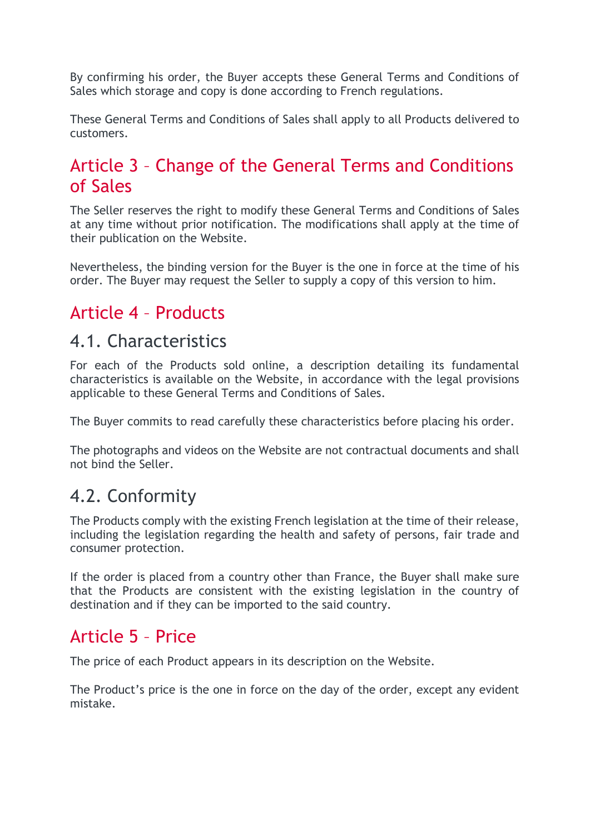By confirming his order, the Buyer accepts these General Terms and Conditions of Sales which storage and copy is done according to French regulations.

These General Terms and Conditions of Sales shall apply to all Products delivered to customers.

## Article 3 – Change of the General Terms and Conditions of Sales

The Seller reserves the right to modify these General Terms and Conditions of Sales at any time without prior notification. The modifications shall apply at the time of their publication on the Website.

Nevertheless, the binding version for the Buyer is the one in force at the time of his order. The Buyer may request the Seller to supply a copy of this version to him.

## Article 4 – Products

#### 4.1. Characteristics

For each of the Products sold online, a description detailing its fundamental characteristics is available on the Website, in accordance with the legal provisions applicable to these General Terms and Conditions of Sales.

The Buyer commits to read carefully these characteristics before placing his order.

The photographs and videos on the Website are not contractual documents and shall not bind the Seller.

#### 4.2. Conformity

The Products comply with the existing French legislation at the time of their release, including the legislation regarding the health and safety of persons, fair trade and consumer protection.

If the order is placed from a country other than France, the Buyer shall make sure that the Products are consistent with the existing legislation in the country of destination and if they can be imported to the said country.

#### Article 5 – Price

The price of each Product appears in its description on the Website.

The Product's price is the one in force on the day of the order, except any evident mistake.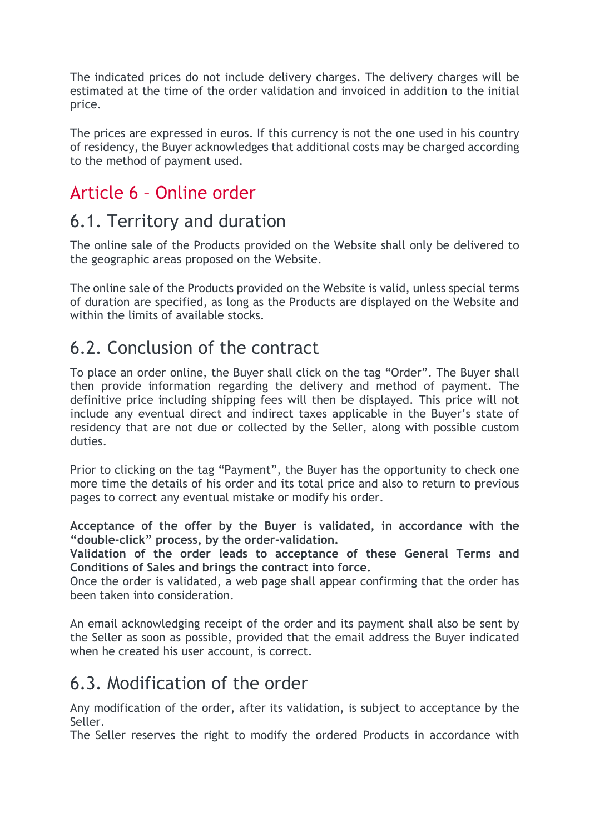The indicated prices do not include delivery charges. The delivery charges will be estimated at the time of the order validation and invoiced in addition to the initial price.

The prices are expressed in euros. If this currency is not the one used in his country of residency, the Buyer acknowledges that additional costs may be charged according to the method of payment used.

# Article 6 – Online order

## 6.1. Territory and duration

The online sale of the Products provided on the Website shall only be delivered to the geographic areas proposed on the Website.

The online sale of the Products provided on the Website is valid, unless special terms of duration are specified, as long as the Products are displayed on the Website and within the limits of available stocks.

# 6.2. Conclusion of the contract

To place an order online, the Buyer shall click on the tag "Order". The Buyer shall then provide information regarding the delivery and method of payment. The definitive price including shipping fees will then be displayed. This price will not include any eventual direct and indirect taxes applicable in the Buyer's state of residency that are not due or collected by the Seller, along with possible custom duties.

Prior to clicking on the tag "Payment", the Buyer has the opportunity to check one more time the details of his order and its total price and also to return to previous pages to correct any eventual mistake or modify his order.

**Acceptance of the offer by the Buyer is validated, in accordance with the "double-click" process, by the order-validation.**

**Validation of the order leads to acceptance of these General Terms and Conditions of Sales and brings the contract into force.**

Once the order is validated, a web page shall appear confirming that the order has been taken into consideration.

An email acknowledging receipt of the order and its payment shall also be sent by the Seller as soon as possible, provided that the email address the Buyer indicated when he created his user account, is correct.

# 6.3. Modification of the order

Any modification of the order, after its validation, is subject to acceptance by the Seller.

The Seller reserves the right to modify the ordered Products in accordance with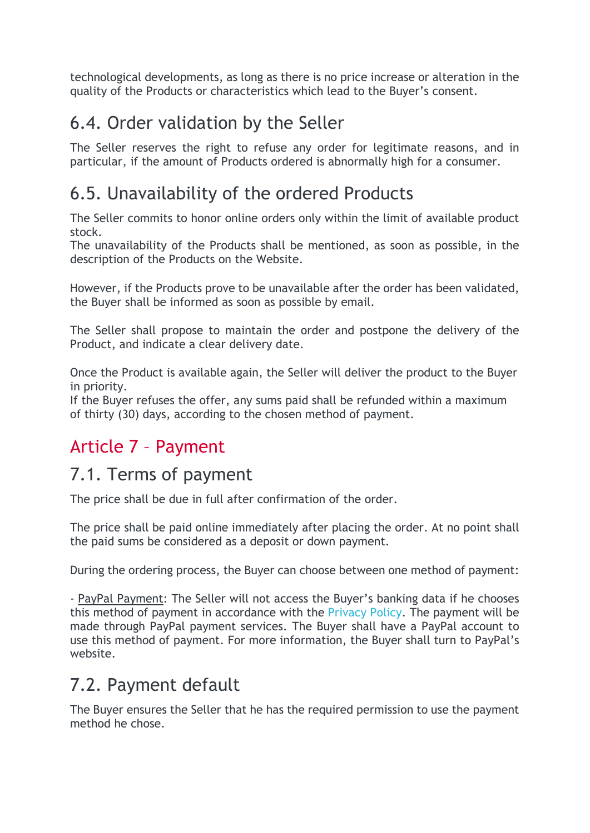technological developments, as long as there is no price increase or alteration in the quality of the Products or characteristics which lead to the Buyer's consent.

# 6.4. Order validation by the Seller

The Seller reserves the right to refuse any order for legitimate reasons, and in particular, if the amount of Products ordered is abnormally high for a consumer.

# 6.5. Unavailability of the ordered Products

The Seller commits to honor online orders only within the limit of available product stock.

The unavailability of the Products shall be mentioned, as soon as possible, in the description of the Products on the Website.

However, if the Products prove to be unavailable after the order has been validated, the Buyer shall be informed as soon as possible by email.

The Seller shall propose to maintain the order and postpone the delivery of the Product, and indicate a clear delivery date.

Once the Product is available again, the Seller will deliver the product to the Buyer in priority.

If the Buyer refuses the offer, any sums paid shall be refunded within a maximum of thirty (30) days, according to the chosen method of payment.

# Article 7 – Payment

# 7.1. Terms of payment

The price shall be due in full after confirmation of the order.

The price shall be paid online immediately after placing the order. At no point shall the paid sums be considered as a deposit or down payment.

During the ordering process, the Buyer can choose between one method of payment:

- PayPal Payment: The Seller will not access the Buyer's banking data if he chooses this method of payment in accordance with the [Privacy](https://www.meetprizm.com/privacy-policy/) Policy. The payment will be made through PayPal payment services. The Buyer shall have a PayPal account to use this method of payment. For more information, the Buyer shall turn to PayPal's website.

# 7.2. Payment default

The Buyer ensures the Seller that he has the required permission to use the payment method he chose.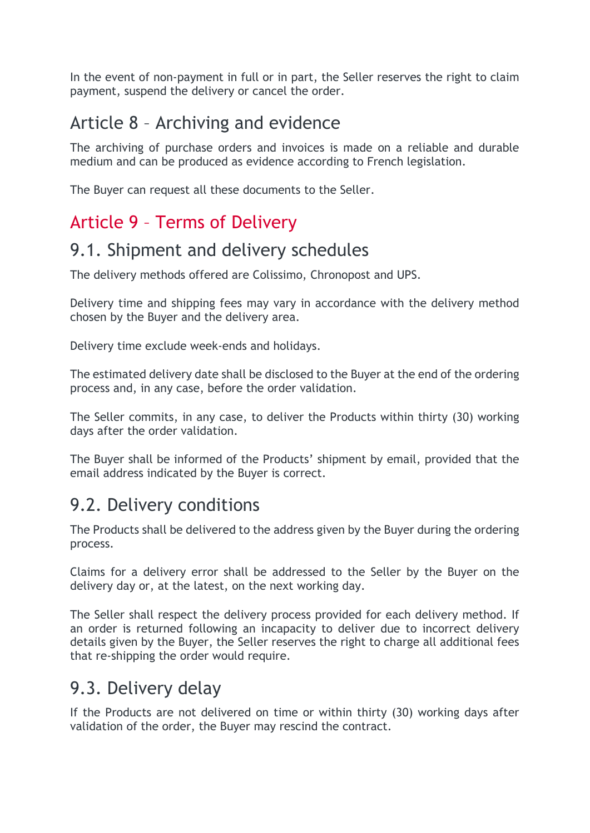In the event of non-payment in full or in part, the Seller reserves the right to claim payment, suspend the delivery or cancel the order.

# Article 8 – Archiving and evidence

The archiving of purchase orders and invoices is made on a reliable and durable medium and can be produced as evidence according to French legislation.

The Buyer can request all these documents to the Seller.

# Article 9 – Terms of Delivery

## 9.1. Shipment and delivery schedules

The delivery methods offered are Colissimo, Chronopost and UPS.

Delivery time and shipping fees may vary in accordance with the delivery method chosen by the Buyer and the delivery area.

Delivery time exclude week-ends and holidays.

The estimated delivery date shall be disclosed to the Buyer at the end of the ordering process and, in any case, before the order validation.

The Seller commits, in any case, to deliver the Products within thirty (30) working days after the order validation.

The Buyer shall be informed of the Products' shipment by email, provided that the email address indicated by the Buyer is correct.

#### 9.2. Delivery conditions

The Products shall be delivered to the address given by the Buyer during the ordering process.

Claims for a delivery error shall be addressed to the Seller by the Buyer on the delivery day or, at the latest, on the next working day.

The Seller shall respect the delivery process provided for each delivery method. If an order is returned following an incapacity to deliver due to incorrect delivery details given by the Buyer, the Seller reserves the right to charge all additional fees that re-shipping the order would require.

#### 9.3. Delivery delay

If the Products are not delivered on time or within thirty (30) working days after validation of the order, the Buyer may rescind the contract.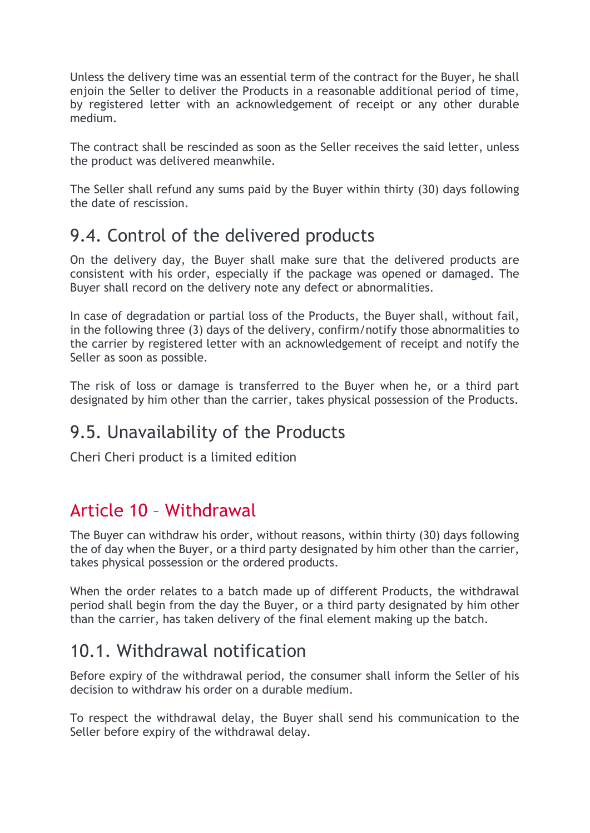Unless the delivery time was an essential term of the contract for the Buyer, he shall enjoin the Seller to deliver the Products in a reasonable additional period of time, by registered letter with an acknowledgement of receipt or any other durable medium.

The contract shall be rescinded as soon as the Seller receives the said letter, unless the product was delivered meanwhile.

The Seller shall refund any sums paid by the Buyer within thirty (30) days following the date of rescission.

#### 9.4. Control of the delivered products

On the delivery day, the Buyer shall make sure that the delivered products are consistent with his order, especially if the package was opened or damaged. The Buyer shall record on the delivery note any defect or abnormalities.

In case of degradation or partial loss of the Products, the Buyer shall, without fail, in the following three (3) days of the delivery, confirm/notify those abnormalities to the carrier by registered letter with an acknowledgement of receipt and notify the Seller as soon as possible.

The risk of loss or damage is transferred to the Buyer when he, or a third part designated by him other than the carrier, takes physical possession of the Products.

#### 9.5. Unavailability of the Products

Cheri Cheri product is a limited edition

#### Article 10 – Withdrawal

The Buyer can withdraw his order, without reasons, within thirty (30) days following the of day when the Buyer, or a third party designated by him other than the carrier, takes physical possession or the ordered products.

When the order relates to a batch made up of different Products, the withdrawal period shall begin from the day the Buyer, or a third party designated by him other than the carrier, has taken delivery of the final element making up the batch.

#### 10.1. Withdrawal notification

Before expiry of the withdrawal period, the consumer shall inform the Seller of his decision to withdraw his order on a durable medium.

To respect the withdrawal delay, the Buyer shall send his communication to the Seller before expiry of the withdrawal delay.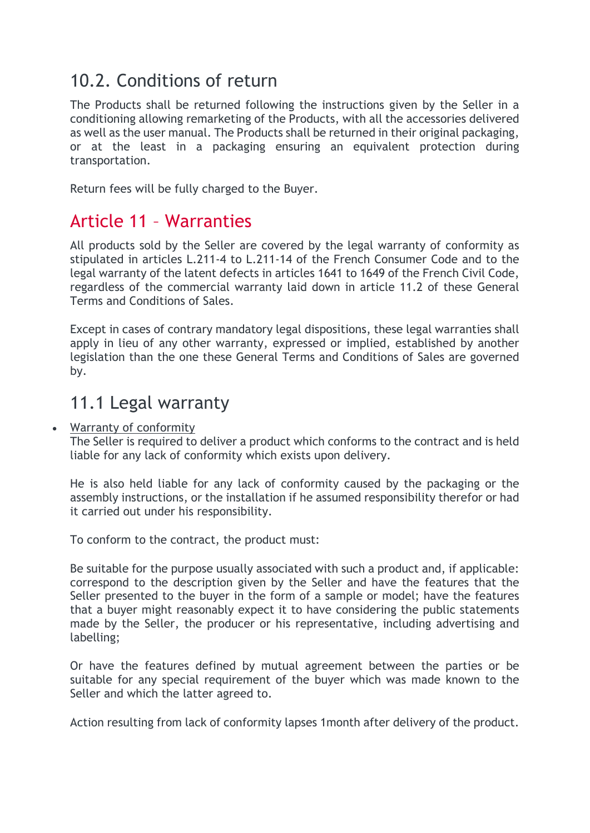## 10.2. Conditions of return

The Products shall be returned following the instructions given by the Seller in a conditioning allowing remarketing of the Products, with all the accessories delivered as well as the user manual. The Products shall be returned in their original packaging, or at the least in a packaging ensuring an equivalent protection during transportation.

Return fees will be fully charged to the Buyer.

#### Article 11 – Warranties

All products sold by the Seller are covered by the legal warranty of conformity as stipulated in articles L.211-4 to L.211-14 of the French Consumer Code and to the legal warranty of the latent defects in articles 1641 to 1649 of the French Civil Code, regardless of the commercial warranty laid down in article 11.2 of these General Terms and Conditions of Sales.

Except in cases of contrary mandatory legal dispositions, these legal warranties shall apply in lieu of any other warranty, expressed or implied, established by another legislation than the one these General Terms and Conditions of Sales are governed by.

#### 11.1 Legal warranty

#### **Warranty of conformity**

The Seller is required to deliver a product which conforms to the contract and is held liable for any lack of conformity which exists upon delivery.

He is also held liable for any lack of conformity caused by the packaging or the assembly instructions, or the installation if he assumed responsibility therefor or had it carried out under his responsibility.

To conform to the contract, the product must:

Be suitable for the purpose usually associated with such a product and, if applicable: correspond to the description given by the Seller and have the features that the Seller presented to the buyer in the form of a sample or model; have the features that a buyer might reasonably expect it to have considering the public statements made by the Seller, the producer or his representative, including advertising and labelling;

Or have the features defined by mutual agreement between the parties or be suitable for any special requirement of the buyer which was made known to the Seller and which the latter agreed to.

Action resulting from lack of conformity lapses 1month after delivery of the product.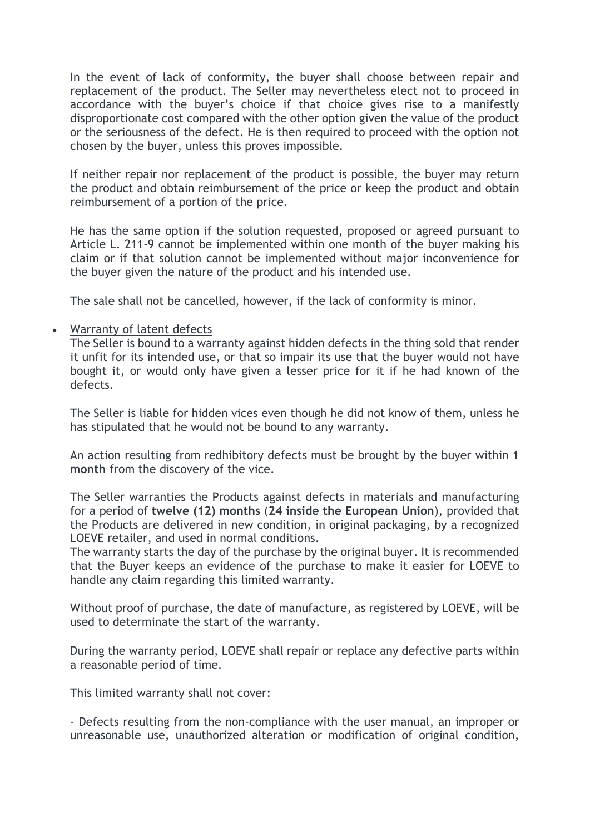In the event of lack of conformity, the buyer shall choose between repair and replacement of the product. The Seller may nevertheless elect not to proceed in accordance with the buyer's choice if that choice gives rise to a manifestly disproportionate cost compared with the other option given the value of the product or the seriousness of the defect. He is then required to proceed with the option not chosen by the buyer, unless this proves impossible.

If neither repair nor replacement of the product is possible, the buyer may return the product and obtain reimbursement of the price or keep the product and obtain reimbursement of a portion of the price.

He has the same option if the solution requested, proposed or agreed pursuant to Article L. 211-9 cannot be implemented within one month of the buyer making his claim or if that solution cannot be implemented without major inconvenience for the buyer given the nature of the product and his intended use.

The sale shall not be cancelled, however, if the lack of conformity is minor.

#### • Warranty of latent defects

The Seller is bound to a warranty against hidden defects in the thing sold that render it unfit for its intended use, or that so impair its use that the buyer would not have bought it, or would only have given a lesser price for it if he had known of the defects.

The Seller is liable for hidden vices even though he did not know of them, unless he has stipulated that he would not be bound to any warranty.

An action resulting from redhibitory defects must be brought by the buyer within **1 month** from the discovery of the vice.

The Seller warranties the Products against defects in materials and manufacturing for a period of **twelve (12) months** (**24 inside the European Union**), provided that the Products are delivered in new condition, in original packaging, by a recognized LOEVE retailer, and used in normal conditions.

The warranty starts the day of the purchase by the original buyer. It is recommended that the Buyer keeps an evidence of the purchase to make it easier for LOEVE to handle any claim regarding this limited warranty.

Without proof of purchase, the date of manufacture, as registered by LOEVE, will be used to determinate the start of the warranty.

During the warranty period, LOEVE shall repair or replace any defective parts within a reasonable period of time.

This limited warranty shall not cover:

- Defects resulting from the non-compliance with the user manual, an improper or unreasonable use, unauthorized alteration or modification of original condition,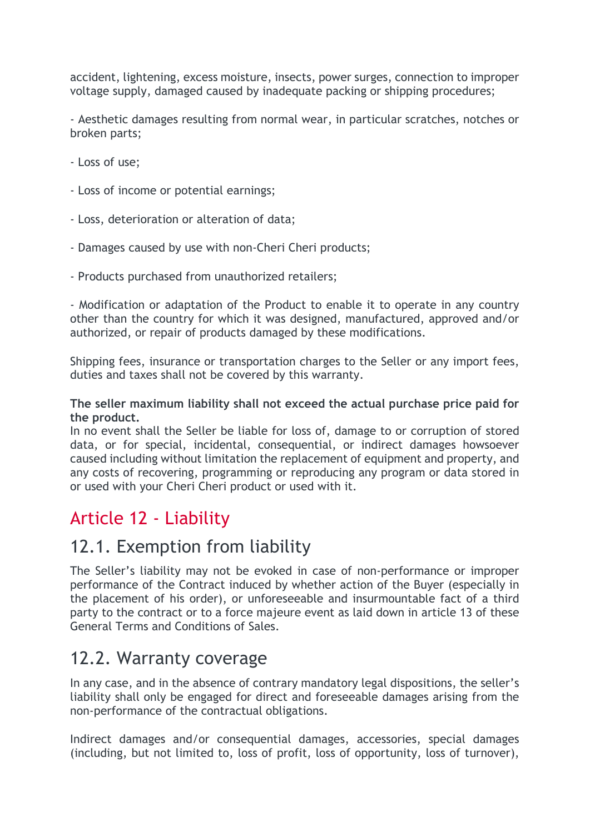accident, lightening, excess moisture, insects, power surges, connection to improper voltage supply, damaged caused by inadequate packing or shipping procedures;

- Aesthetic damages resulting from normal wear, in particular scratches, notches or broken parts;

- Loss of use;
- Loss of income or potential earnings;
- Loss, deterioration or alteration of data;
- Damages caused by use with non-Cheri Cheri products;
- Products purchased from unauthorized retailers;

- Modification or adaptation of the Product to enable it to operate in any country other than the country for which it was designed, manufactured, approved and/or authorized, or repair of products damaged by these modifications.

Shipping fees, insurance or transportation charges to the Seller or any import fees, duties and taxes shall not be covered by this warranty.

#### **The seller maximum liability shall not exceed the actual purchase price paid for the product.**

In no event shall the Seller be liable for loss of, damage to or corruption of stored data, or for special, incidental, consequential, or indirect damages howsoever caused including without limitation the replacement of equipment and property, and any costs of recovering, programming or reproducing any program or data stored in or used with your Cheri Cheri product or used with it.

#### Article 12 - Liability

#### 12.1. Exemption from liability

The Seller's liability may not be evoked in case of non-performance or improper performance of the Contract induced by whether action of the Buyer (especially in the placement of his order), or unforeseeable and insurmountable fact of a third party to the contract or to a force majeure event as laid down in article 13 of these General Terms and Conditions of Sales.

#### 12.2. Warranty coverage

In any case, and in the absence of contrary mandatory legal dispositions, the seller's liability shall only be engaged for direct and foreseeable damages arising from the non-performance of the contractual obligations.

Indirect damages and/or consequential damages, accessories, special damages (including, but not limited to, loss of profit, loss of opportunity, loss of turnover),